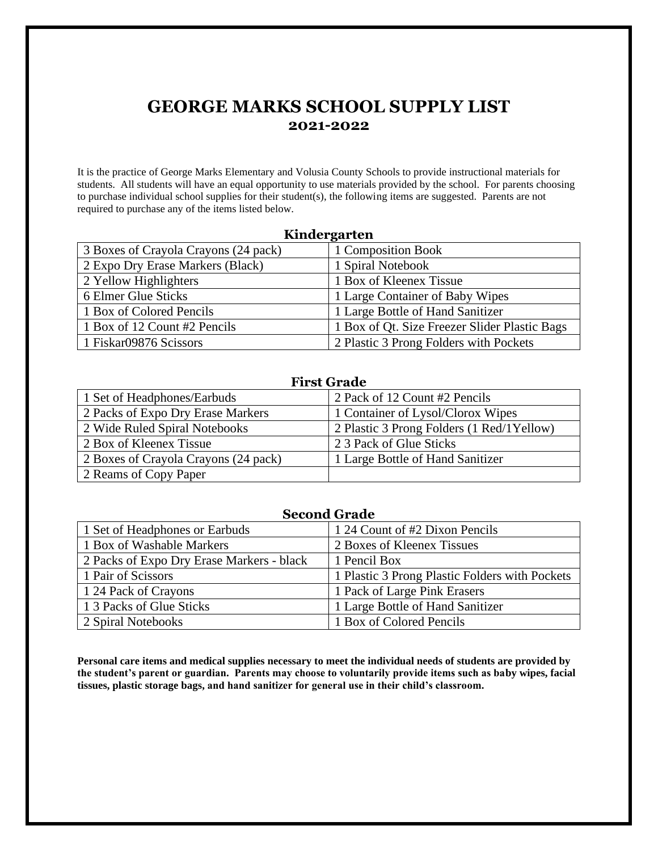# **GEORGE MARKS SCHOOL SUPPLY LIST 2021-2022**

It is the practice of George Marks Elementary and Volusia County Schools to provide instructional materials for students. All students will have an equal opportunity to use materials provided by the school. For parents choosing to purchase individual school supplies for their student(s), the following items are suggested. Parents are not required to purchase any of the items listed below.

| Kindergarten                         |                                               |
|--------------------------------------|-----------------------------------------------|
| 3 Boxes of Crayola Crayons (24 pack) | 1 Composition Book                            |
| 2 Expo Dry Erase Markers (Black)     | 1 Spiral Notebook                             |
| 2 Yellow Highlighters                | 1 Box of Kleenex Tissue                       |
| 6 Elmer Glue Sticks                  | 1 Large Container of Baby Wipes               |
| 1 Box of Colored Pencils             | 1 Large Bottle of Hand Sanitizer              |
| 1 Box of 12 Count #2 Pencils         | 1 Box of Qt. Size Freezer Slider Plastic Bags |
| 1 Fiskar09876 Scissors               | 2 Plastic 3 Prong Folders with Pockets        |

### **First Grade**

| 1 Set of Headphones/Earbuds          | 2 Pack of 12 Count #2 Pencils              |
|--------------------------------------|--------------------------------------------|
| 2 Packs of Expo Dry Erase Markers    | 1 Container of Lysol/Clorox Wipes          |
| 2 Wide Ruled Spiral Notebooks        | 2 Plastic 3 Prong Folders (1 Red/1 Yellow) |
| 2 Box of Kleenex Tissue              | 2 3 Pack of Glue Sticks                    |
| 2 Boxes of Crayola Crayons (24 pack) | 1 Large Bottle of Hand Sanitizer           |
| 2 Reams of Copy Paper                |                                            |

### **Second Grade**

| 1 Set of Headphones or Earbuds            | 1 24 Count of #2 Dixon Pencils                 |
|-------------------------------------------|------------------------------------------------|
| 1 Box of Washable Markers                 | 2 Boxes of Kleenex Tissues                     |
| 2 Packs of Expo Dry Erase Markers - black | 1 Pencil Box                                   |
| 1 Pair of Scissors                        | 1 Plastic 3 Prong Plastic Folders with Pockets |
| 1 24 Pack of Crayons                      | 1 Pack of Large Pink Erasers                   |
| 1 3 Packs of Glue Sticks                  | 1 Large Bottle of Hand Sanitizer               |
| 2 Spiral Notebooks                        | 1 Box of Colored Pencils                       |

**Personal care items and medical supplies necessary to meet the individual needs of students are provided by the student's parent or guardian. Parents may choose to voluntarily provide items such as baby wipes, facial tissues, plastic storage bags, and hand sanitizer for general use in their child's classroom.**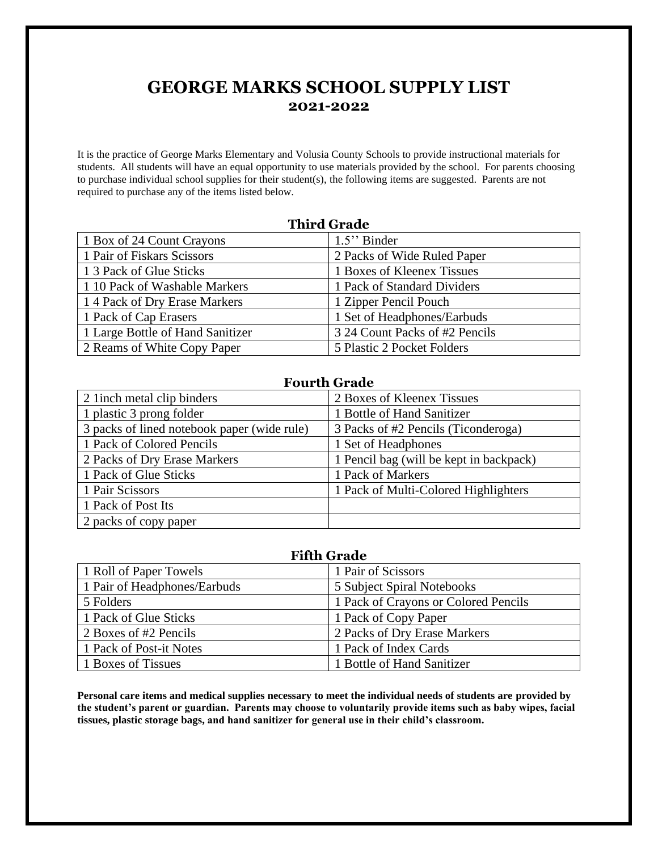## **GEORGE MARKS SCHOOL SUPPLY LIST 2021-2022**

It is the practice of George Marks Elementary and Volusia County Schools to provide instructional materials for students. All students will have an equal opportunity to use materials provided by the school. For parents choosing to purchase individual school supplies for their student(s), the following items are suggested. Parents are not required to purchase any of the items listed below.

| <b>Third Grade</b>               |                                |
|----------------------------------|--------------------------------|
| 1 Box of 24 Count Crayons        | $1.5$ " Binder                 |
| 1 Pair of Fiskars Scissors       | 2 Packs of Wide Ruled Paper    |
| 1 3 Pack of Glue Sticks          | 1 Boxes of Kleenex Tissues     |
| 1 10 Pack of Washable Markers    | 1 Pack of Standard Dividers    |
| 14 Pack of Dry Erase Markers     | 1 Zipper Pencil Pouch          |
| 1 Pack of Cap Erasers            | 1 Set of Headphones/Earbuds    |
| 1 Large Bottle of Hand Sanitizer | 3 24 Count Packs of #2 Pencils |
| 2 Reams of White Copy Paper      | 5 Plastic 2 Pocket Folders     |

### **Fourth Grade**

| 2 1 inch metal clip binders                 | 2 Boxes of Kleenex Tissues              |
|---------------------------------------------|-----------------------------------------|
| 1 plastic 3 prong folder                    | 1 Bottle of Hand Sanitizer              |
| 3 packs of lined notebook paper (wide rule) | 3 Packs of #2 Pencils (Ticonderoga)     |
| 1 Pack of Colored Pencils                   | 1 Set of Headphones                     |
| 2 Packs of Dry Erase Markers                | 1 Pencil bag (will be kept in backpack) |
| 1 Pack of Glue Sticks                       | 1 Pack of Markers                       |
| 1 Pair Scissors                             | 1 Pack of Multi-Colored Highlighters    |
| 1 Pack of Post Its                          |                                         |
| 2 packs of copy paper                       |                                         |

| <b>Fifth Grade</b>           |                                      |  |
|------------------------------|--------------------------------------|--|
| 1 Roll of Paper Towels       | 1 Pair of Scissors                   |  |
| 1 Pair of Headphones/Earbuds | 5 Subject Spiral Notebooks           |  |
| 5 Folders                    | 1 Pack of Crayons or Colored Pencils |  |
| 1 Pack of Glue Sticks        | 1 Pack of Copy Paper                 |  |
| 2 Boxes of #2 Pencils        | 2 Packs of Dry Erase Markers         |  |
| 1 Pack of Post-it Notes      | 1 Pack of Index Cards                |  |
| 1 Boxes of Tissues           | 1 Bottle of Hand Sanitizer           |  |

**Personal care items and medical supplies necessary to meet the individual needs of students are provided by the student's parent or guardian. Parents may choose to voluntarily provide items such as baby wipes, facial tissues, plastic storage bags, and hand sanitizer for general use in their child's classroom.**